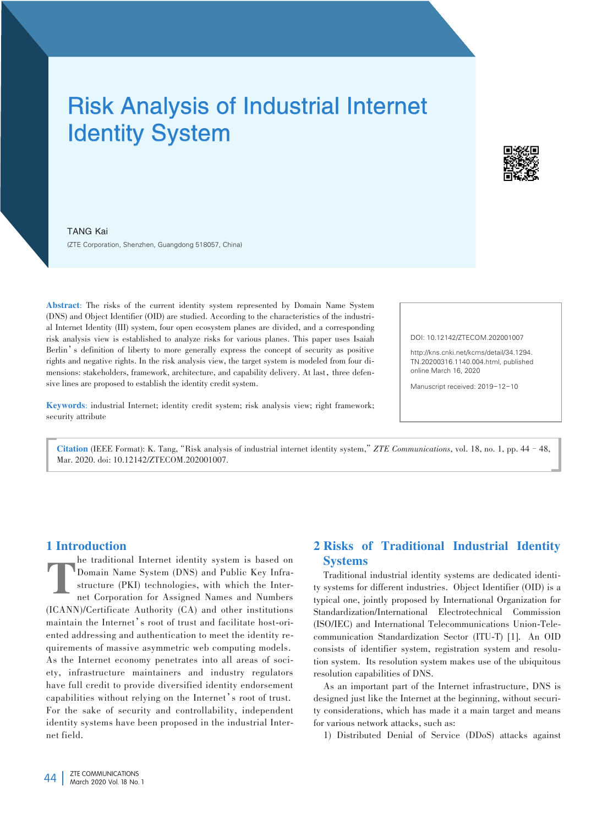# Risk Analysis of Industrial Internet Identity System



TANG Kai (ZTE Corporation, Shenzhen, Guangdong 518057, China)

Abstract: The risks of the current identity system represented by Domain Name System (DNS) and Object Identifier (OID) are studied. According to the characteristics of the industrial Internet Identity (III) system, four open ecosystem planes are divided, and a corresponding risk analysis view is established to analyze risks for various planes. This paper uses Isaiah Berlin's definition of liberty to more generally express the concept of security as positive rights and negative rights. In the risk analysis view, the target system is modeled from four dimensions: stakeholders, framework, architecture, and capability delivery. At last, three defensive lines are proposed to establish the identity credit system.

Keywords: industrial Internet; identity credit system; risk analysis view; right framework; security attribute

DOI: 10.12142/ZTECOM.202001007

http://kns.cnki.net/kcms/detail/34.1294. TN.20200316.1140.004.html, published online March 16, 2020

Manuscript received: 2019-12-10

Citation (IEEE Format): K. Tang,"Risk analysis of industrial internet identity system,"*ZTE Communications*, vol. 18, no. 1, pp. 44–48, Mar. 2020. doi: 10.12142/ZTECOM.202001007.

## 1 Introduction

T he traditional Internet identity system is based on Domain Name System (DNS) and Public Key Infrastructure (PKI) technologies, with which the Internet Corporation for Assigned Names and Numbers (ICANN)/Certificate Authority (CA) and other institutions maintain the Internet's root of trust and facilitate host-oriented addressing and authentication to meet the identity requirements of massive asymmetric web computing models. As the Internet economy penetrates into all areas of society, infrastructure maintainers and industry regulators have full credit to provide diversified identity endorsement capabilities without relying on the Internet's root of trust. For the sake of security and controllability, independent identity systems have been proposed in the industrial Internet field.

# 2 Risks of Traditional Industrial Identity **Systems**

Traditional industrial identity systems are dedicated identity systems for different industries. Object Identifier (OID) is a typical one, jointly proposed by International Organization for Standardization/International Electrotechnical Commission (ISO/IEC) and International Telecommunications Union-Telecommunication Standardization Sector (ITU-T) [1]. An OID consists of identifier system, registration system and resolution system. Its resolution system makes use of the ubiquitous resolution capabilities of DNS.

As an important part of the Internet infrastructure, DNS is designed just like the Internet at the beginning, without security considerations, which has made it a main target and means for various network attacks, such as:

1) Distributed Denial of Service (DDoS) attacks against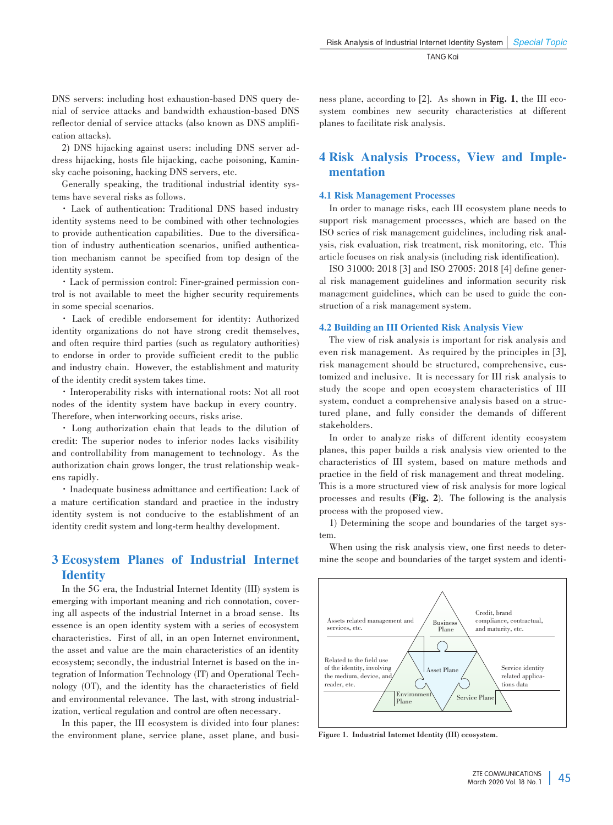DNS servers: including host exhaustion-based DNS query denial of service attacks and bandwidth exhaustion-based DNS reflector denial of service attacks (also known as DNS amplification attacks).

2) DNS hijacking against users: including DNS server address hijacking, hosts file hijacking, cache poisoning, Kaminsky cache poisoning, hacking DNS servers, etc.

Generally speaking, the traditional industrial identity systems have several risks as follows.

· Lack of authentication: Traditional DNS based industry identity systems need to be combined with other technologies to provide authentication capabilities. Due to the diversification of industry authentication scenarios, unified authentication mechanism cannot be specified from top design of the identity system.

·Lack of permission control: Finer-grained permission con⁃ trol is not available to meet the higher security requirements in some special scenarios.

· Lack of credible endorsement for identity: Authorized identity organizations do not have strong credit themselves, and often require third parties (such as regulatory authorities) to endorse in order to provide sufficient credit to the public and industry chain. However, the establishment and maturity of the identity credit system takes time.

·Interoperability risks with international roots: Not all root nodes of the identity system have backup in every country. Therefore, when interworking occurs, risks arise.

· Long authorization chain that leads to the dilution of credit: The superior nodes to inferior nodes lacks visibility and controllability from management to technology. As the authorization chain grows longer, the trust relationship weakens rapidly.

·Inadequate business admittance and certification: Lack of a mature certification standard and practice in the industry identity system is not conducive to the establishment of an identity credit system and long-term healthy development.

# 3 Ecosystem Planes of Industrial Internet **Identity**

In the 5G era, the Industrial Internet Identity (III) system is emerging with important meaning and rich connotation, covering all aspects of the industrial Internet in a broad sense. Its essence is an open identity system with a series of ecosystem characteristics. First of all, in an open Internet environment, the asset and value are the main characteristics of an identity ecosystem; secondly, the industrial Internet is based on the integration of Information Technology (IT) and Operational Tech⁃ nology (OT), and the identity has the characteristics of field and environmental relevance. The last, with strong industrialization, vertical regulation and control are often necessary.

In this paper, the III ecosystem is divided into four planes: the environment plane, service plane, asset plane, and business plane, according to [2]. As shown in Fig. 1, the III ecosystem combines new security characteristics at different planes to facilitate risk analysis.

## 4 Risk Analysis Process, View and Imple⁃ mentation

## 4.1 Risk Management Processes

In order to manage risks, each III ecosystem plane needs to support risk management processes, which are based on the ISO series of risk management guidelines, including risk analysis, risk evaluation, risk treatment, risk monitoring, etc. This article focuses on risk analysis (including risk identification).

ISO 31000: 2018 [3] and ISO 27005: 2018 [4] define gener al risk management guidelines and information security risk management guidelines, which can be used to guide the construction of a risk management system.

### 4.2 Building an III Oriented Risk Analysis View

The view of risk analysis is important for risk analysis and even risk management. As required by the principles in [3], risk management should be structured, comprehensive, customized and inclusive. It is necessary for III risk analysis to study the scope and open ecosystem characteristics of III system, conduct a comprehensive analysis based on a structured plane, and fully consider the demands of different stakeholders.

In order to analyze risks of different identity ecosystem planes, this paper builds a risk analysis view oriented to the characteristics of III system, based on mature methods and practice in the field of risk management and threat modeling. This is a more structured view of risk analysis for more logical processes and results (Fig. 2)**.** The following is the analysis process with the proposed view.

1) Determining the scope and boundaries of the target system.

When using the risk analysis view, one first needs to determine the scope and boundaries of the target system and identi-



**Figure 1. Industrial Internet Identity (III) ecosystem.**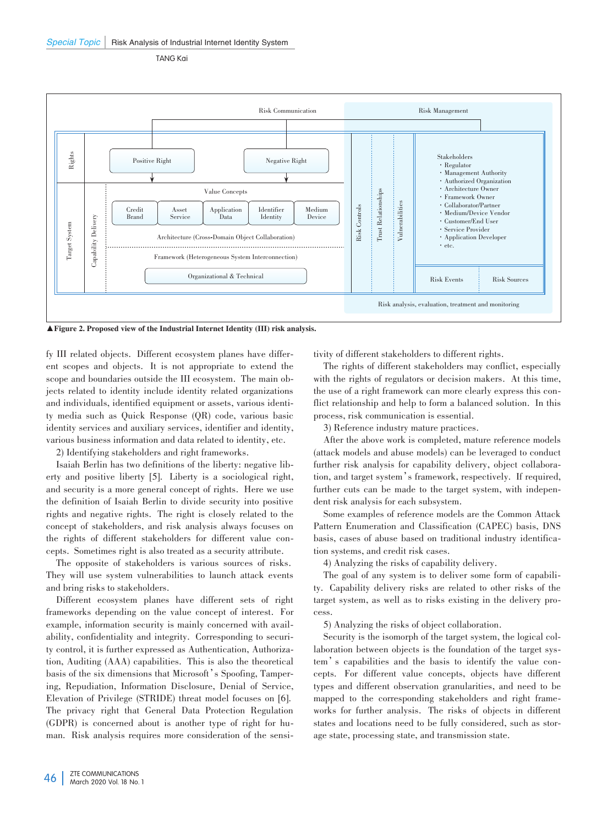TANG Kai



▲Figure 2. Proposed view of the Industrial Internet Identity (III) risk analysis.

fy III related objects. Different ecosystem planes have different scopes and objects. It is not appropriate to extend the scope and boundaries outside the III ecosystem. The main objects related to identity include identity related organizations and individuals, identified equipment or assets, various identity media such as Quick Response (QR) code, various basic identity services and auxiliary services, identifier and identity, various business information and data related to identity, etc.

2) Identifying stakeholders and right frameworks.

Isaiah Berlin has two definitions of the liberty: negative liberty and positive liberty [5]. Liberty is a sociological right, and security is a more general concept of rights. Here we use the definition of Isaiah Berlin to divide security into positive rights and negative rights. The right is closely related to the concept of stakeholders, and risk analysis always focuses on the rights of different stakeholders for different value concepts. Sometimes right is also treated as a security attribute.

The opposite of stakeholders is various sources of risks. They will use system vulnerabilities to launch attack events and bring risks to stakeholders.

Different ecosystem planes have different sets of right frameworks depending on the value concept of interest. For example, information security is mainly concerned with availability, confidentiality and integrity. Corresponding to security control, it is further expressed as Authentication, Authorization, Auditing (AAA) capabilities. This is also the theoretical basis of the six dimensions that Microsoft's Spoofing, Tampering, Repudiation, Information Disclosure, Denial of Service, Elevation of Privilege (STRIDE) threat model focuses on [6]. The privacy right that General Data Protection Regulation (GDPR) is concerned about is another type of right for human. Risk analysis requires more consideration of the sensitivity of different stakeholders to different rights.

The rights of different stakeholders may conflict, especially with the rights of regulators or decision makers. At this time, the use of a right framework can more clearly express this conflict relationship and help to form a balanced solution. In this process, risk communication is essential.

3) Reference industry mature practices.

After the above work is completed, mature reference models (attack models and abuse models) can be leveraged to conduct further risk analysis for capability delivery, object collaboration, and target system's framework, respectively. If required, further cuts can be made to the target system, with independent risk analysis for each subsystem.

Some examples of reference models are the Common Attack Pattern Enumeration and Classification (CAPEC) basis, DNS basis, cases of abuse based on traditional industry identification systems, and credit risk cases.

4) Analyzing the risks of capability delivery.

The goal of any system is to deliver some form of capability. Capability delivery risks are related to other risks of the target system, as well as to risks existing in the delivery process.

5) Analyzing the risks of object collaboration.

Security is the isomorph of the target system, the logical collaboration between objects is the foundation of the target system's capabilities and the basis to identify the value concepts. For different value concepts, objects have different types and different observation granularities, and need to be mapped to the corresponding stakeholders and right frameworks for further analysis. The risks of objects in different states and locations need to be fully considered, such as storage state, processing state, and transmission state.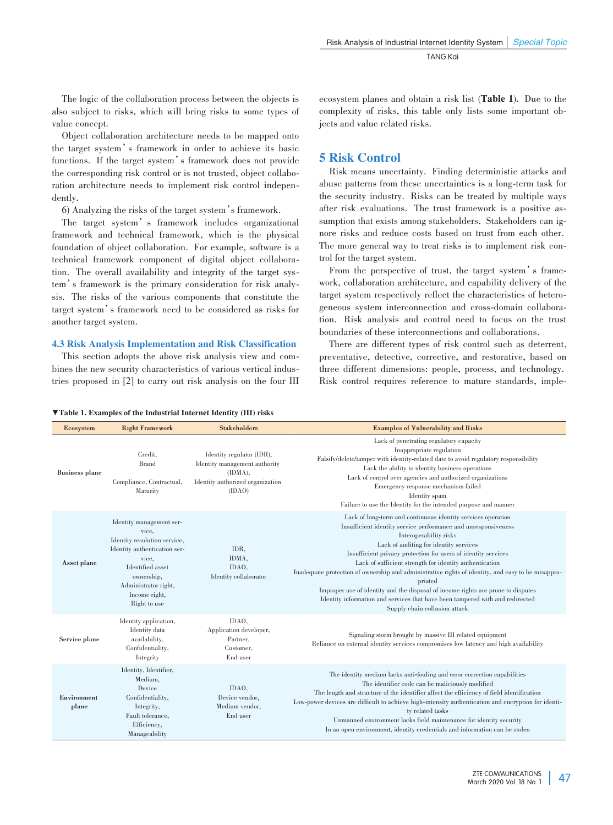The logic of the collaboration process between the objects is also subject to risks, which will bring risks to some types of value concept.

Object collaboration architecture needs to be mapped onto the target system's framework in order to achieve its basic functions. If the target system's framework does not provide the corresponding risk control or is not trusted, object collaboration architecture needs to implement risk control independently.

6) Analyzing the risks of the target system's framework.

The target system's framework includes organizational framework and technical framework, which is the physical foundation of object collaboration. For example, software is a technical framework component of digital object collaboration. The overall availability and integrity of the target system's framework is the primary consideration for risk analysis. The risks of the various components that constitute the target system's framework need to be considered as risks for another target system.

#### 4.3 Risk Analysis Implementation and Risk Classification

This section adopts the above risk analysis view and combines the new security characteristics of various vertical industries proposed in [2] to carry out risk analysis on the four III ecosystem planes and obtain a risk list (Table 1). Due to the complexity of risks, this table only lists some important objects and value related risks.

## 5 Risk Control

Risk means uncertainty. Finding deterministic attacks and abuse patterns from these uncertainties is a long-term task for the security industry. Risks can be treated by multiple ways after risk evaluations. The trust framework is a positive assumption that exists among stakeholders. Stakeholders can ignore risks and reduce costs based on trust from each other. The more general way to treat risks is to implement risk control for the target system.

From the perspective of trust, the target system's framework, collaboration architecture, and capability delivery of the target system respectively reflect the characteristics of heterogeneous system interconnection and cross-domain collaboration. Risk analysis and control need to focus on the trust boundaries of these interconnections and collaborations.

There are different types of risk control such as deterrent, preventative, detective, corrective, and restorative, based on three different dimensions: people, process, and technology. Risk control requires reference to mature standards, imple-

#### ▼Table 1. Examples of the Industrial Internet Identity (III) risks

| Ecosystem             | <b>Right Framework</b>                                                                                                                                                                                | <b>Stakeholders</b>                                                                                                 | <b>Examples of Vulnerability and Risks</b>                                                                                                                                                                                                                                                                                                                                                                                                                                                                                                                                                                                                             |
|-----------------------|-------------------------------------------------------------------------------------------------------------------------------------------------------------------------------------------------------|---------------------------------------------------------------------------------------------------------------------|--------------------------------------------------------------------------------------------------------------------------------------------------------------------------------------------------------------------------------------------------------------------------------------------------------------------------------------------------------------------------------------------------------------------------------------------------------------------------------------------------------------------------------------------------------------------------------------------------------------------------------------------------------|
| <b>Business plane</b> | Credit.<br><b>Brand</b><br>Compliance, Contractual,<br>Maturity                                                                                                                                       | Identity regulator (IDR),<br>Identity management authority<br>(IDMA).<br>Identity authorized organization<br>(IDAO) | Lack of penetrating regulatory capacity<br>Inappropriate regulation<br>Falsify/delete/tamper with identity-related date to avoid regulatory responsibility<br>Lack the ability to identity business operations<br>Lack of control over agencies and authorized organizations<br>Emergency response mechanism failed<br>Identity spam<br>Failure to use the Identity for the intended purpose and manner                                                                                                                                                                                                                                                |
| Asset plane           | Identity management ser-<br>vice.<br>Identity resolution service,<br>Identity authentication ser-<br>vice.<br>Identified asset<br>ownership,<br>Administrator right,<br>Income right,<br>Right to use | IDR.<br>IDMA.<br>IDAO,<br>Identity collaborator                                                                     | Lack of long-term and continuous identity services operation<br>Insufficient identity service performance and unresponsiveness<br>Interoperability risks<br>Lack of auditing for identity services<br>Insufficient privacy protection for users of identity services<br>Lack of sufficient strength for identity authentication<br>Inadequate protection of ownership and administrative rights of identity, and easy to be misappro-<br>priated<br>Improper use of identity and the disposal of income rights are prone to disputes<br>Identity information and services that have been tampered with and redirected<br>Supply chain collusion attack |
| Service plane         | Identity application,<br>Identity data<br>availability,<br>Confidentiality,<br>Integrity                                                                                                              | IDAO.<br>Application developer,<br>Partner.<br>Customer,<br>End user                                                | Signaling storm brought by massive III related equipment<br>Reliance on external identity services compromises low latency and high availability                                                                                                                                                                                                                                                                                                                                                                                                                                                                                                       |
| Environment<br>plane  | Identity, Identifier,<br>Medium.<br>Device<br>Confidentiality,<br>Integrity,<br>Fault tolerance.<br>Efficiency,<br>Manageability                                                                      | IDAO,<br>Device vendor,<br>Medium vendor,<br>End user                                                               | The identity medium lacks anti-fouling and error correction capabilities<br>The identifier code can be maliciously modified<br>The length and structure of the identifier affect the efficiency of field identification<br>Low-power devices are difficult to achieve high-intensity authentication and encryption for identi-<br>ty related tasks<br>Unmanned environment lacks field maintenance for identity security<br>In an open environment, identity credentials and information can be stolen                                                                                                                                                 |